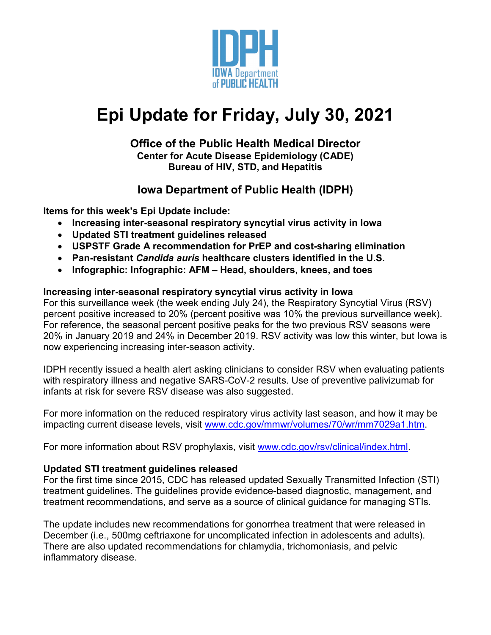

# **Epi Update for Friday, July 30, 2021**

#### **Office of the Public Health Medical Director Center for Acute Disease Epidemiology (CADE) Bureau of HIV, STD, and Hepatitis**

## **Iowa Department of Public Health (IDPH)**

**Items for this week's Epi Update include:**

- **Increasing inter-seasonal respiratory syncytial virus activity in Iowa**
- **Updated STI treatment guidelines released**
- **USPSTF Grade A recommendation for PrEP and cost-sharing elimination**
- **Pan-resistant** *Candida auris* **healthcare clusters identified in the U.S.**
- **Infographic: Infographic: AFM – Head, shoulders, knees, and toes**

#### **Increasing inter-seasonal respiratory syncytial virus activity in Iowa**

For this surveillance week (the week ending July 24), the Respiratory Syncytial Virus (RSV) percent positive increased to 20% (percent positive was 10% the previous surveillance week). For reference, the seasonal percent positive peaks for the two previous RSV seasons were 20% in January 2019 and 24% in December 2019. RSV activity was low this winter, but Iowa is now experiencing increasing inter-season activity.

IDPH recently issued a health alert asking clinicians to consider RSV when evaluating patients with respiratory illness and negative SARS-CoV-2 results. Use of preventive palivizumab for infants at risk for severe RSV disease was also suggested.

For more information on the reduced respiratory virus activity last season, and how it may be impacting current disease levels, visit [www.cdc.gov/mmwr/volumes/70/wr/mm7029a1.htm.](https://www.cdc.gov/mmwr/volumes/70/wr/mm7029a1.htm)

For more information about RSV prophylaxis, visit [www.cdc.gov/rsv/clinical/index.html.](http://www.cdc.gov/rsv/clinical/index.html)

#### **Updated STI treatment guidelines released**

For the first time since 2015, CDC has released updated Sexually Transmitted Infection (STI) treatment guidelines. The guidelines provide evidence-based diagnostic, management, and treatment recommendations, and serve as a source of clinical guidance for managing STIs.

The update includes new recommendations for gonorrhea treatment that were released in December (i.e., 500mg ceftriaxone for uncomplicated infection in adolescents and adults). There are also updated recommendations for chlamydia, trichomoniasis, and pelvic inflammatory disease.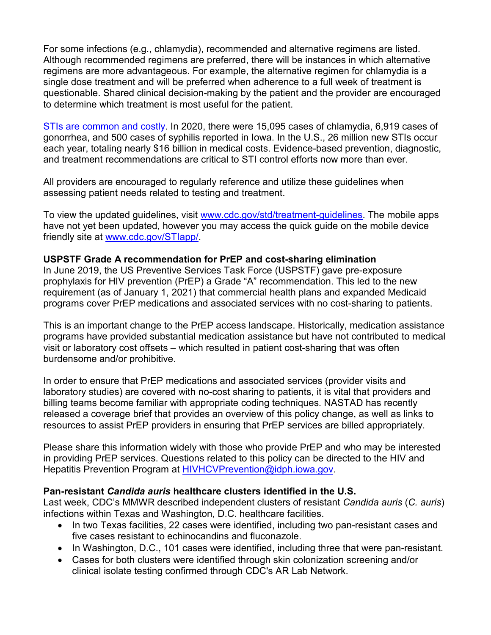For some infections (e.g., chlamydia), recommended and alternative regimens are listed. Although recommended regimens are preferred, there will be instances in which alternative regimens are more advantageous. For example, the alternative regimen for chlamydia is a single dose treatment and will be preferred when adherence to a full week of treatment is questionable. Shared clinical decision-making by the patient and the provider are encouraged to determine which treatment is most useful for the patient.

[STIs are common and costly.](https://www.cdc.gov/std/statistics/prevalence-incidence-cost-2020.htm) In 2020, there were 15,095 cases of chlamydia, 6,919 cases of gonorrhea, and 500 cases of syphilis reported in Iowa. In the U.S., 26 million new STIs occur each year, totaling nearly \$16 billion in medical costs. Evidence-based prevention, diagnostic, and treatment recommendations are critical to STI control efforts now more than ever.

All providers are encouraged to regularly reference and utilize these guidelines when assessing patient needs related to testing and treatment.

To view the updated guidelines, visit [www.cdc.gov/std/treatment-guidelines.](http://www.cdc.gov/std/treatment-guidelines) The mobile apps have not yet been updated, however you may access the quick guide on the mobile device friendly site at [www.cdc.gov/STIapp/.](http://www.cdc.gov/STIapp/)

#### **USPSTF Grade A recommendation for PrEP and cost-sharing elimination**

In June 2019, the US Preventive Services Task Force (USPSTF) gave pre-exposure prophylaxis for HIV prevention (PrEP) a Grade "A" recommendation. This led to the new requirement (as of January 1, 2021) that commercial health plans and expanded Medicaid programs cover PrEP medications and associated services with no cost-sharing to patients.

This is an important change to the PrEP access landscape. Historically, medication assistance programs have provided substantial medication assistance but have not contributed to medical visit or laboratory cost offsets – which resulted in patient cost-sharing that was often burdensome and/or prohibitive.

In order to ensure that PrEP medications and associated services (provider visits and laboratory studies) are covered with no-cost sharing to patients, it is vital that providers and billing teams become familiar with appropriate coding techniques. NASTAD has recently released a coverage brief that provides an overview of this policy change, as well as links to resources to assist PrEP providers in ensuring that PrEP services are billed appropriately.

Please share this information widely with those who provide PrEP and who may be interested in providing PrEP services. Questions related to this policy can be directed to the HIV and Hepatitis Prevention Program at [HIVHCVPrevention@idph.iowa.gov.](mailto:HIVHCVPrevention@idph.iowa.gov)

#### **Pan-resistant** *Candida auris* **healthcare clusters identified in the U.S.**

Last week, CDC's MMWR described independent clusters of resistant *Candida auris* (*C. auris*) infections within Texas and Washington, D.C. healthcare facilities.

- In two Texas facilities, 22 cases were identified, including two pan-resistant cases and five cases resistant to echinocandins and fluconazole.
- In Washington, D.C., 101 cases were identified, including three that were pan-resistant.
- Cases for both clusters were identified through skin colonization screening and/or clinical isolate testing confirmed through CDC's AR Lab Network.